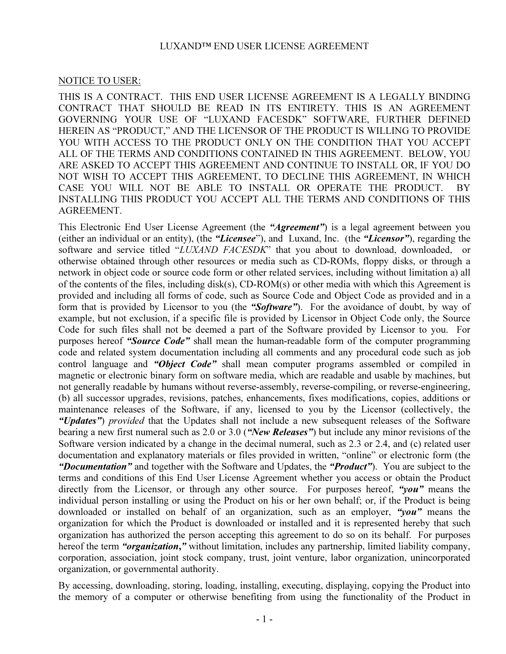#### LUXAND™ END USER LICENSE AGREEMENT

#### NOTICE TO USER:

THIS IS A CONTRACT. THIS END USER LICENSE AGREEMENT IS A LEGALLY BINDING CONTRACT THAT SHOULD BE READ IN ITS ENTIRETY. THIS IS AN AGREEMENT GOVERNING YOUR USE OF "LUXAND FACESDK" SOFTWARE, FURTHER DEFINED HEREIN AS "PRODUCT," AND THE LICENSOR OF THE PRODUCT IS WILLING TO PROVIDE YOU WITH ACCESS TO THE PRODUCT ONLY ON THE CONDITION THAT YOU ACCEPT ALL OF THE TERMS AND CONDITIONS CONTAINED IN THIS AGREEMENT. BELOW, YOU ARE ASKED TO ACCEPT THIS AGREEMENT AND CONTINUE TO INSTALL OR, IF YOU DO NOT WISH TO ACCEPT THIS AGREEMENT, TO DECLINE THIS AGREEMENT, IN WHICH CASE YOU WILL NOT BE ABLE TO INSTALL OR OPERATE THE PRODUCT. BY INSTALLING THIS PRODUCT YOU ACCEPT ALL THE TERMS AND CONDITIONS OF THIS AGREEMENT.

This Electronic End User License Agreement (the "Agreement") is a legal agreement between you (either an individual or an entity), (the "Licensee"), and Luxand, Inc. (the "Licensor"), regarding the software and service titled "LUXAND FACESDK" that you about to download, downloaded, or otherwise obtained through other resources or media such as CD-ROMs, floppy disks, or through a network in object code or source code form or other related services, including without limitation a) all of the contents of the files, including disk(s), CD-ROM(s) or other media with which this Agreement is provided and including all forms of code, such as Source Code and Object Code as provided and in a form that is provided by Licensor to you (the "Software"). For the avoidance of doubt, by way of example, but not exclusion, if a specific file is provided by Licensor in Object Code only, the Source Code for such files shall not be deemed a part of the Software provided by Licensor to you. For purposes hereof "Source Code" shall mean the human-readable form of the computer programming code and related system documentation including all comments and any procedural code such as job control language and "Object Code" shall mean computer programs assembled or compiled in magnetic or electronic binary form on software media, which are readable and usable by machines, but not generally readable by humans without reverse-assembly, reverse-compiling, or reverse-engineering, (b) all successor upgrades, revisions, patches, enhancements, fixes modifications, copies, additions or maintenance releases of the Software, if any, licensed to you by the Licensor (collectively, the "Updates") provided that the Updates shall not include a new subsequent releases of the Software bearing a new first numeral such as 2.0 or 3.0 ("New Releases") but include any minor revisions of the Software version indicated by a change in the decimal numeral, such as 2.3 or 2.4, and (c) related user documentation and explanatory materials or files provided in written, "online" or electronic form (the "Documentation" and together with the Software and Updates, the "Product"). You are subject to the terms and conditions of this End User License Agreement whether you access or obtain the Product directly from the Licensor, or through any other source. For purposes hereof, "you" means the individual person installing or using the Product on his or her own behalf; or, if the Product is being downloaded or installed on behalf of an organization, such as an employer, "you" means the organization for which the Product is downloaded or installed and it is represented hereby that such organization has authorized the person accepting this agreement to do so on its behalf. For purposes hereof the term "organization," without limitation, includes any partnership, limited liability company, corporation, association, joint stock company, trust, joint venture, labor organization, unincorporated organization, or governmental authority.

By accessing, downloading, storing, loading, installing, executing, displaying, copying the Product into the memory of a computer or otherwise benefiting from using the functionality of the Product in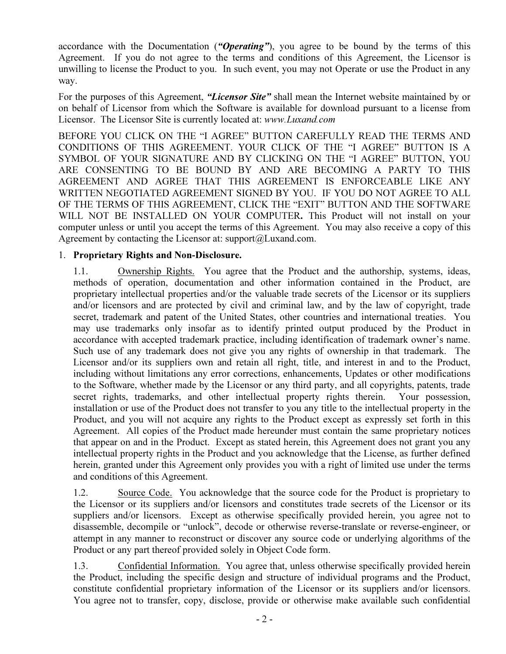accordance with the Documentation ("Operating"), you agree to be bound by the terms of this Agreement. If you do not agree to the terms and conditions of this Agreement, the Licensor is unwilling to license the Product to you. In such event, you may not Operate or use the Product in any way.

For the purposes of this Agreement, "Licensor Site" shall mean the Internet website maintained by or on behalf of Licensor from which the Software is available for download pursuant to a license from Licensor. The Licensor Site is currently located at: www.Luxand.com

BEFORE YOU CLICK ON THE "I AGREE" BUTTON CAREFULLY READ THE TERMS AND CONDITIONS OF THIS AGREEMENT. YOUR CLICK OF THE "I AGREE" BUTTON IS A SYMBOL OF YOUR SIGNATURE AND BY CLICKING ON THE "I AGREE" BUTTON, YOU ARE CONSENTING TO BE BOUND BY AND ARE BECOMING A PARTY TO THIS AGREEMENT AND AGREE THAT THIS AGREEMENT IS ENFORCEABLE LIKE ANY WRITTEN NEGOTIATED AGREEMENT SIGNED BY YOU. IF YOU DO NOT AGREE TO ALL OF THE TERMS OF THIS AGREEMENT, CLICK THE "EXIT" BUTTON AND THE SOFTWARE WILL NOT BE INSTALLED ON YOUR COMPUTER. This Product will not install on your computer unless or until you accept the terms of this Agreement. You may also receive a copy of this Agreement by contacting the Licensor at: support@Luxand.com.

### 1. Proprietary Rights and Non-Disclosure.

1.1. Ownership Rights. You agree that the Product and the authorship, systems, ideas, methods of operation, documentation and other information contained in the Product, are proprietary intellectual properties and/or the valuable trade secrets of the Licensor or its suppliers and/or licensors and are protected by civil and criminal law, and by the law of copyright, trade secret, trademark and patent of the United States, other countries and international treaties. You may use trademarks only insofar as to identify printed output produced by the Product in accordance with accepted trademark practice, including identification of trademark owner's name. Such use of any trademark does not give you any rights of ownership in that trademark. The Licensor and/or its suppliers own and retain all right, title, and interest in and to the Product, including without limitations any error corrections, enhancements, Updates or other modifications to the Software, whether made by the Licensor or any third party, and all copyrights, patents, trade secret rights, trademarks, and other intellectual property rights therein. Your possession, installation or use of the Product does not transfer to you any title to the intellectual property in the Product, and you will not acquire any rights to the Product except as expressly set forth in this Agreement. All copies of the Product made hereunder must contain the same proprietary notices that appear on and in the Product. Except as stated herein, this Agreement does not grant you any intellectual property rights in the Product and you acknowledge that the License, as further defined herein, granted under this Agreement only provides you with a right of limited use under the terms and conditions of this Agreement.

1.2. Source Code. You acknowledge that the source code for the Product is proprietary to the Licensor or its suppliers and/or licensors and constitutes trade secrets of the Licensor or its suppliers and/or licensors. Except as otherwise specifically provided herein, you agree not to disassemble, decompile or "unlock", decode or otherwise reverse-translate or reverse-engineer, or attempt in any manner to reconstruct or discover any source code or underlying algorithms of the Product or any part thereof provided solely in Object Code form.

1.3. Confidential Information. You agree that, unless otherwise specifically provided herein the Product, including the specific design and structure of individual programs and the Product, constitute confidential proprietary information of the Licensor or its suppliers and/or licensors. You agree not to transfer, copy, disclose, provide or otherwise make available such confidential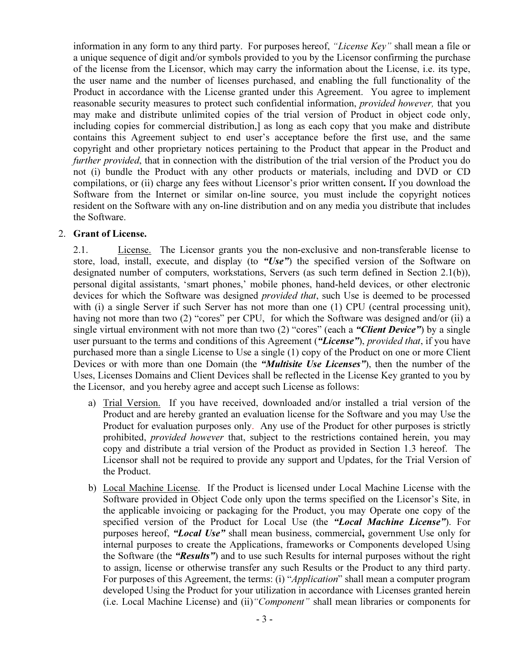information in any form to any third party. For purposes hereof, "License Key" shall mean a file or a unique sequence of digit and/or symbols provided to you by the Licensor confirming the purchase of the license from the Licensor, which may carry the information about the License, i.e. its type, the user name and the number of licenses purchased, and enabling the full functionality of the Product in accordance with the License granted under this Agreement. You agree to implement reasonable security measures to protect such confidential information, provided however, that you may make and distribute unlimited copies of the trial version of Product in object code only, including copies for commercial distribution,] as long as each copy that you make and distribute contains this Agreement subject to end user's acceptance before the first use, and the same copyright and other proprietary notices pertaining to the Product that appear in the Product and further provided, that in connection with the distribution of the trial version of the Product you do not (i) bundle the Product with any other products or materials, including and DVD or CD compilations, or (ii) charge any fees without Licensor's prior written consent. If you download the Software from the Internet or similar on-line source, you must include the copyright notices resident on the Software with any on-line distribution and on any media you distribute that includes the Software.

### 2. Grant of License.

2.1. License. The Licensor grants you the non-exclusive and non-transferable license to store, load, install, execute, and display (to "Use") the specified version of the Software on designated number of computers, workstations, Servers (as such term defined in Section 2.1(b)), personal digital assistants, 'smart phones,' mobile phones, hand-held devices, or other electronic devices for which the Software was designed *provided that*, such Use is deemed to be processed with (i) a single Server if such Server has not more than one (1) CPU (central processing unit), having not more than two (2) "cores" per CPU, for which the Software was designed and/or (ii) a single virtual environment with not more than two (2) "cores" (each a "Client Device") by a single user pursuant to the terms and conditions of this Agreement ("License"), provided that, if you have purchased more than a single License to Use a single (1) copy of the Product on one or more Client Devices or with more than one Domain (the "*Multisite Use Licenses*"), then the number of the Uses, Licenses Domains and Client Devices shall be reflected in the License Key granted to you by the Licensor, and you hereby agree and accept such License as follows:

- a) Trial Version. If you have received, downloaded and/or installed a trial version of the Product and are hereby granted an evaluation license for the Software and you may Use the Product for evaluation purposes only. Any use of the Product for other purposes is strictly prohibited, provided however that, subject to the restrictions contained herein, you may copy and distribute a trial version of the Product as provided in Section 1.3 hereof. The Licensor shall not be required to provide any support and Updates, for the Trial Version of the Product.
- b) Local Machine License. If the Product is licensed under Local Machine License with the Software provided in Object Code only upon the terms specified on the Licensor's Site, in the applicable invoicing or packaging for the Product, you may Operate one copy of the specified version of the Product for Local Use (the "Local Machine License"). For purposes hereof, "Local Use" shall mean business, commercial, government Use only for internal purposes to create the Applications, frameworks or Components developed Using the Software (the "Results") and to use such Results for internal purposes without the right to assign, license or otherwise transfer any such Results or the Product to any third party. For purposes of this Agreement, the terms: (i) "*Application*" shall mean a computer program developed Using the Product for your utilization in accordance with Licenses granted herein (i.e. Local Machine License) and (ii)"Component" shall mean libraries or components for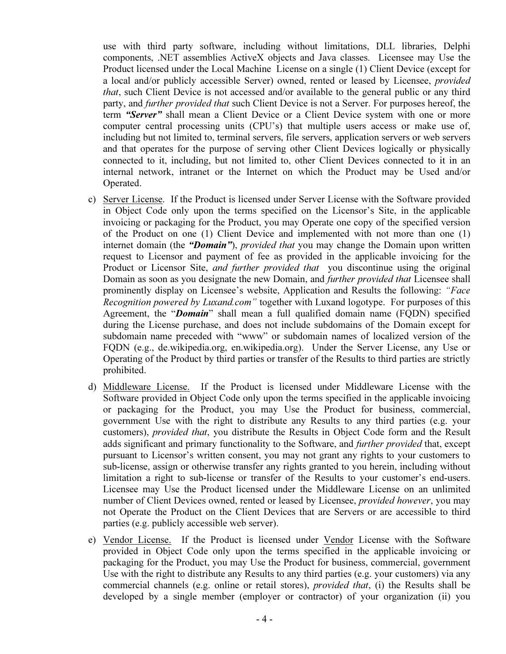use with third party software, including without limitations, DLL libraries, Delphi components, .NET assemblies ActiveX objects and Java classes. Licensee may Use the Product licensed under the Local Machine License on a single (1) Client Device (except for a local and/or publicly accessible Server) owned, rented or leased by Licensee, provided that, such Client Device is not accessed and/or available to the general public or any third party, and *further provided that* such Client Device is not a Server. For purposes hereof, the term "Server" shall mean a Client Device or a Client Device system with one or more computer central processing units (CPU's) that multiple users access or make use of, including but not limited to, terminal servers, file servers, application servers or web servers and that operates for the purpose of serving other Client Devices logically or physically connected to it, including, but not limited to, other Client Devices connected to it in an internal network, intranet or the Internet on which the Product may be Used and/or Operated.

- c) Server License. If the Product is licensed under Server License with the Software provided in Object Code only upon the terms specified on the Licensor's Site, in the applicable invoicing or packaging for the Product, you may Operate one copy of the specified version of the Product on one (1) Client Device and implemented with not more than one (1) internet domain (the "*Domain*"), *provided that* you may change the Domain upon written request to Licensor and payment of fee as provided in the applicable invoicing for the Product or Licensor Site, *and further provided that* you discontinue using the original Domain as soon as you designate the new Domain, and further provided that Licensee shall prominently display on Licensee's website, Application and Results the following: "Face Recognition powered by Luxand.com" together with Luxand logotype. For purposes of this Agreement, the "*Domain*" shall mean a full qualified domain name (FQDN) specified during the License purchase, and does not include subdomains of the Domain except for subdomain name preceded with "www" or subdomain names of localized version of the FQDN (e.g., de.wikipedia.org, en.wikipedia.org). Under the Server License, any Use or Operating of the Product by third parties or transfer of the Results to third parties are strictly prohibited.
- d) Middleware License. If the Product is licensed under Middleware License with the Software provided in Object Code only upon the terms specified in the applicable invoicing or packaging for the Product, you may Use the Product for business, commercial, government Use with the right to distribute any Results to any third parties (e.g. your customers), *provided that*, you distribute the Results in Object Code form and the Result adds significant and primary functionality to the Software, and *further provided* that, except pursuant to Licensor's written consent, you may not grant any rights to your customers to sub-license, assign or otherwise transfer any rights granted to you herein, including without limitation a right to sub-license or transfer of the Results to your customer's end-users. Licensee may Use the Product licensed under the Middleware License on an unlimited number of Client Devices owned, rented or leased by Licensee, *provided however*, you may not Operate the Product on the Client Devices that are Servers or are accessible to third parties (e.g. publicly accessible web server).
- e) Vendor License. If the Product is licensed under Vendor License with the Software provided in Object Code only upon the terms specified in the applicable invoicing or packaging for the Product, you may Use the Product for business, commercial, government Use with the right to distribute any Results to any third parties (e.g. your customers) via any commercial channels (e.g. online or retail stores), provided that, (i) the Results shall be developed by a single member (employer or contractor) of your organization (ii) you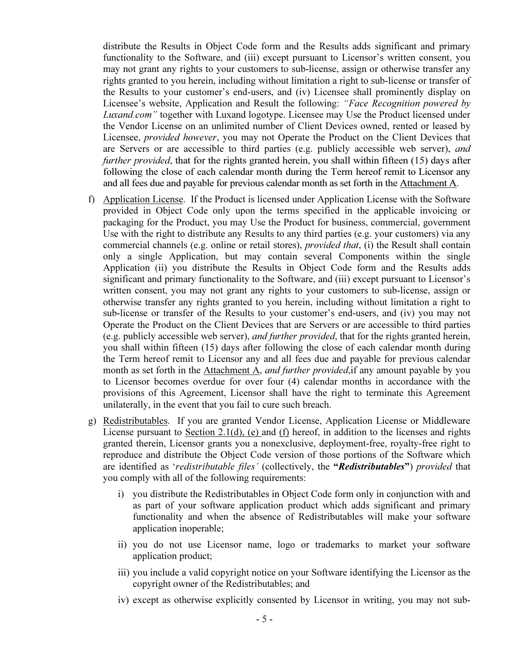distribute the Results in Object Code form and the Results adds significant and primary functionality to the Software, and (iii) except pursuant to Licensor's written consent, you may not grant any rights to your customers to sub-license, assign or otherwise transfer any rights granted to you herein, including without limitation a right to sub-license or transfer of the Results to your customer's end-users, and (iv) Licensee shall prominently display on Licensee's website, Application and Result the following: "Face Recognition powered by Luxand.com" together with Luxand logotype. Licensee may Use the Product licensed under the Vendor License on an unlimited number of Client Devices owned, rented or leased by Licensee, provided however, you may not Operate the Product on the Client Devices that are Servers or are accessible to third parties (e.g. publicly accessible web server), and further provided, that for the rights granted herein, you shall within fifteen (15) days after following the close of each calendar month during the Term hereof remit to Licensor any and all fees due and payable for previous calendar month as set forth in the Attachment A.

- f) Application License. If the Product is licensed under Application License with the Software provided in Object Code only upon the terms specified in the applicable invoicing or packaging for the Product, you may Use the Product for business, commercial, government Use with the right to distribute any Results to any third parties (e.g. your customers) via any commercial channels (e.g. online or retail stores), provided that, (i) the Result shall contain only a single Application, but may contain several Components within the single Application (ii) you distribute the Results in Object Code form and the Results adds significant and primary functionality to the Software, and (iii) except pursuant to Licensor's written consent, you may not grant any rights to your customers to sub-license, assign or otherwise transfer any rights granted to you herein, including without limitation a right to sub-license or transfer of the Results to your customer's end-users, and (iv) you may not Operate the Product on the Client Devices that are Servers or are accessible to third parties (e.g. publicly accessible web server), and further provided, that for the rights granted herein, you shall within fifteen (15) days after following the close of each calendar month during the Term hereof remit to Licensor any and all fees due and payable for previous calendar month as set forth in the Attachment A, *and further provided*, if any amount payable by you to Licensor becomes overdue for over four (4) calendar months in accordance with the provisions of this Agreement, Licensor shall have the right to terminate this Agreement unilaterally, in the event that you fail to cure such breach.
- g) Redistributables. If you are granted Vendor License, Application License or Middleware License pursuant to Section 2.1(d), (e) and (f) hereof, in addition to the licenses and rights granted therein, Licensor grants you a nonexclusive, deployment-free, royalty-free right to reproduce and distribute the Object Code version of those portions of the Software which are identified as 'redistributable files' (collectively, the "Redistributables") provided that you comply with all of the following requirements:
	- i) you distribute the Redistributables in Object Code form only in conjunction with and as part of your software application product which adds significant and primary functionality and when the absence of Redistributables will make your software application inoperable;
	- ii) you do not use Licensor name, logo or trademarks to market your software application product;
	- iii) you include a valid copyright notice on your Software identifying the Licensor as the copyright owner of the Redistributables; and
	- iv) except as otherwise explicitly consented by Licensor in writing, you may not sub-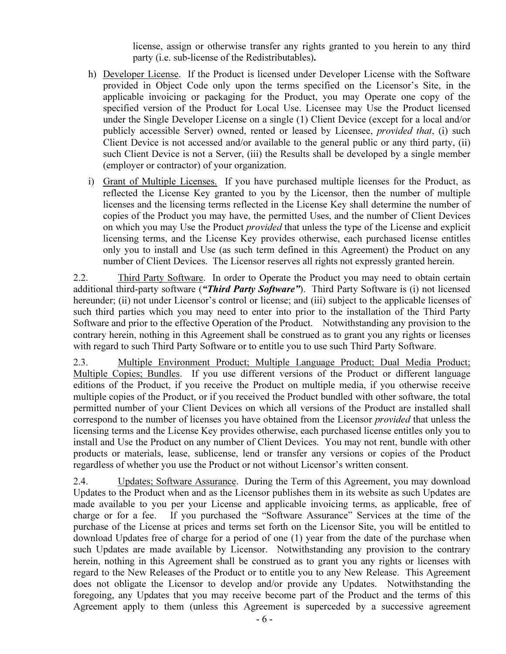license, assign or otherwise transfer any rights granted to you herein to any third party (i.e. sub-license of the Redistributables).

- h) Developer License. If the Product is licensed under Developer License with the Software provided in Object Code only upon the terms specified on the Licensor's Site, in the applicable invoicing or packaging for the Product, you may Operate one copy of the specified version of the Product for Local Use. Licensee may Use the Product licensed under the Single Developer License on a single (1) Client Device (except for a local and/or publicly accessible Server) owned, rented or leased by Licensee, *provided that*, (i) such Client Device is not accessed and/or available to the general public or any third party, (ii) such Client Device is not a Server, (iii) the Results shall be developed by a single member (employer or contractor) of your organization.
- i) Grant of Multiple Licenses. If you have purchased multiple licenses for the Product, as reflected the License Key granted to you by the Licensor, then the number of multiple licenses and the licensing terms reflected in the License Key shall determine the number of copies of the Product you may have, the permitted Uses, and the number of Client Devices on which you may Use the Product provided that unless the type of the License and explicit licensing terms, and the License Key provides otherwise, each purchased license entitles only you to install and Use (as such term defined in this Agreement) the Product on any number of Client Devices. The Licensor reserves all rights not expressly granted herein.

2.2. Third Party Software. In order to Operate the Product you may need to obtain certain additional third-party software ("Third Party Software"). Third Party Software is (i) not licensed hereunder; (ii) not under Licensor's control or license; and (iii) subject to the applicable licenses of such third parties which you may need to enter into prior to the installation of the Third Party Software and prior to the effective Operation of the Product. Notwithstanding any provision to the contrary herein, nothing in this Agreement shall be construed as to grant you any rights or licenses with regard to such Third Party Software or to entitle you to use such Third Party Software.

2.3. Multiple Environment Product; Multiple Language Product; Dual Media Product; Multiple Copies; Bundles. If you use different versions of the Product or different language editions of the Product, if you receive the Product on multiple media, if you otherwise receive multiple copies of the Product, or if you received the Product bundled with other software, the total permitted number of your Client Devices on which all versions of the Product are installed shall correspond to the number of licenses you have obtained from the Licensor provided that unless the licensing terms and the License Key provides otherwise, each purchased license entitles only you to install and Use the Product on any number of Client Devices. You may not rent, bundle with other products or materials, lease, sublicense, lend or transfer any versions or copies of the Product regardless of whether you use the Product or not without Licensor's written consent.

2.4. Updates; Software Assurance. During the Term of this Agreement, you may download Updates to the Product when and as the Licensor publishes them in its website as such Updates are made available to you per your License and applicable invoicing terms, as applicable, free of charge or for a fee. If you purchased the "Software Assurance" Services at the time of the purchase of the License at prices and terms set forth on the Licensor Site, you will be entitled to download Updates free of charge for a period of one (1) year from the date of the purchase when such Updates are made available by Licensor. Notwithstanding any provision to the contrary herein, nothing in this Agreement shall be construed as to grant you any rights or licenses with regard to the New Releases of the Product or to entitle you to any New Release. This Agreement does not obligate the Licensor to develop and/or provide any Updates. Notwithstanding the foregoing, any Updates that you may receive become part of the Product and the terms of this Agreement apply to them (unless this Agreement is superceded by a successive agreement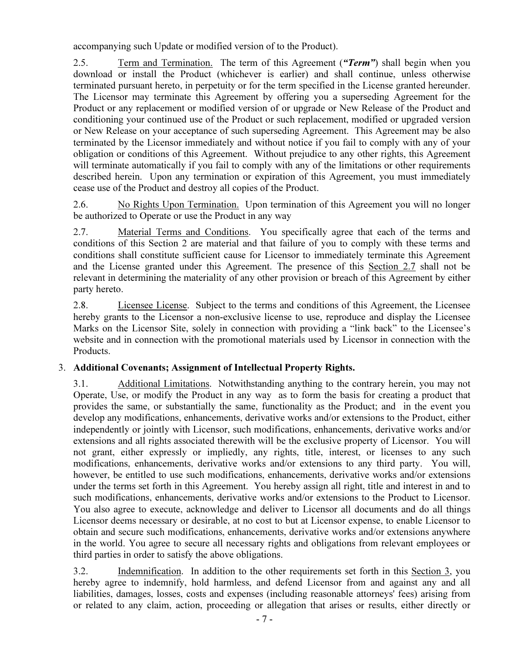accompanying such Update or modified version of to the Product).

2.5. Term and Termination. The term of this Agreement ("Term") shall begin when you download or install the Product (whichever is earlier) and shall continue, unless otherwise terminated pursuant hereto, in perpetuity or for the term specified in the License granted hereunder. The Licensor may terminate this Agreement by offering you a superseding Agreement for the Product or any replacement or modified version of or upgrade or New Release of the Product and conditioning your continued use of the Product or such replacement, modified or upgraded version or New Release on your acceptance of such superseding Agreement. This Agreement may be also terminated by the Licensor immediately and without notice if you fail to comply with any of your obligation or conditions of this Agreement. Without prejudice to any other rights, this Agreement will terminate automatically if you fail to comply with any of the limitations or other requirements described herein. Upon any termination or expiration of this Agreement, you must immediately cease use of the Product and destroy all copies of the Product.

2.6. No Rights Upon Termination. Upon termination of this Agreement you will no longer be authorized to Operate or use the Product in any way

2.7. Material Terms and Conditions. You specifically agree that each of the terms and conditions of this Section 2 are material and that failure of you to comply with these terms and conditions shall constitute sufficient cause for Licensor to immediately terminate this Agreement and the License granted under this Agreement. The presence of this Section 2.7 shall not be relevant in determining the materiality of any other provision or breach of this Agreement by either party hereto.

2.8. Licensee License. Subject to the terms and conditions of this Agreement, the Licensee hereby grants to the Licensor a non-exclusive license to use, reproduce and display the Licensee Marks on the Licensor Site, solely in connection with providing a "link back" to the Licensee's website and in connection with the promotional materials used by Licensor in connection with the Products.

# 3. Additional Covenants; Assignment of Intellectual Property Rights.

3.1. Additional Limitations. Notwithstanding anything to the contrary herein, you may not Operate, Use, or modify the Product in any way as to form the basis for creating a product that provides the same, or substantially the same, functionality as the Product; and in the event you develop any modifications, enhancements, derivative works and/or extensions to the Product, either independently or jointly with Licensor, such modifications, enhancements, derivative works and/or extensions and all rights associated therewith will be the exclusive property of Licensor. You will not grant, either expressly or impliedly, any rights, title, interest, or licenses to any such modifications, enhancements, derivative works and/or extensions to any third party. You will, however, be entitled to use such modifications, enhancements, derivative works and/or extensions under the terms set forth in this Agreement. You hereby assign all right, title and interest in and to such modifications, enhancements, derivative works and/or extensions to the Product to Licensor. You also agree to execute, acknowledge and deliver to Licensor all documents and do all things Licensor deems necessary or desirable, at no cost to but at Licensor expense, to enable Licensor to obtain and secure such modifications, enhancements, derivative works and/or extensions anywhere in the world. You agree to secure all necessary rights and obligations from relevant employees or third parties in order to satisfy the above obligations.

3.2. Indemnification. In addition to the other requirements set forth in this Section 3, you hereby agree to indemnify, hold harmless, and defend Licensor from and against any and all liabilities, damages, losses, costs and expenses (including reasonable attorneys' fees) arising from or related to any claim, action, proceeding or allegation that arises or results, either directly or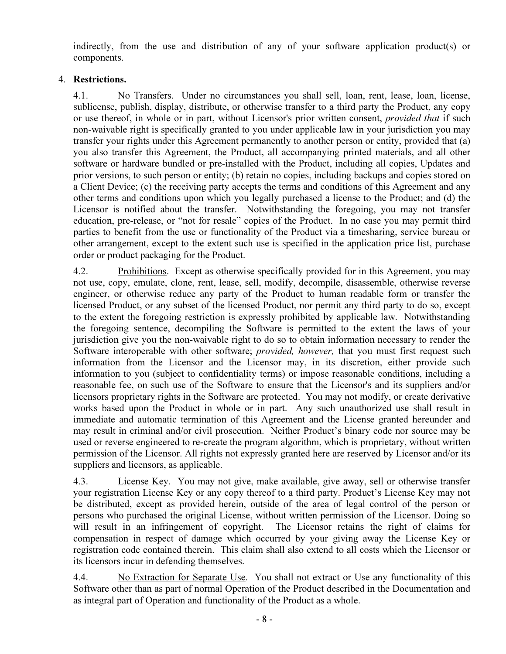indirectly, from the use and distribution of any of your software application product(s) or components.

# 4. Restrictions.

4.1. No Transfers. Under no circumstances you shall sell, loan, rent, lease, loan, license, sublicense, publish, display, distribute, or otherwise transfer to a third party the Product, any copy or use thereof, in whole or in part, without Licensor's prior written consent, provided that if such non-waivable right is specifically granted to you under applicable law in your jurisdiction you may transfer your rights under this Agreement permanently to another person or entity, provided that (a) you also transfer this Agreement, the Product, all accompanying printed materials, and all other software or hardware bundled or pre-installed with the Product, including all copies, Updates and prior versions, to such person or entity; (b) retain no copies, including backups and copies stored on a Client Device; (c) the receiving party accepts the terms and conditions of this Agreement and any other terms and conditions upon which you legally purchased a license to the Product; and (d) the Licensor is notified about the transfer. Notwithstanding the foregoing, you may not transfer education, pre-release, or "not for resale" copies of the Product. In no case you may permit third parties to benefit from the use or functionality of the Product via a timesharing, service bureau or other arrangement, except to the extent such use is specified in the application price list, purchase order or product packaging for the Product.

4.2. Prohibitions. Except as otherwise specifically provided for in this Agreement, you may not use, copy, emulate, clone, rent, lease, sell, modify, decompile, disassemble, otherwise reverse engineer, or otherwise reduce any party of the Product to human readable form or transfer the licensed Product, or any subset of the licensed Product, nor permit any third party to do so, except to the extent the foregoing restriction is expressly prohibited by applicable law. Notwithstanding the foregoing sentence, decompiling the Software is permitted to the extent the laws of your jurisdiction give you the non-waivable right to do so to obtain information necessary to render the Software interoperable with other software; *provided, however*, that you must first request such information from the Licensor and the Licensor may, in its discretion, either provide such information to you (subject to confidentiality terms) or impose reasonable conditions, including a reasonable fee, on such use of the Software to ensure that the Licensor's and its suppliers and/or licensors proprietary rights in the Software are protected. You may not modify, or create derivative works based upon the Product in whole or in part. Any such unauthorized use shall result in immediate and automatic termination of this Agreement and the License granted hereunder and may result in criminal and/or civil prosecution. Neither Product's binary code nor source may be used or reverse engineered to re-create the program algorithm, which is proprietary, without written permission of the Licensor. All rights not expressly granted here are reserved by Licensor and/or its suppliers and licensors, as applicable.

4.3. License Key. You may not give, make available, give away, sell or otherwise transfer your registration License Key or any copy thereof to a third party. Product's License Key may not be distributed, except as provided herein, outside of the area of legal control of the person or persons who purchased the original License, without written permission of the Licensor. Doing so will result in an infringement of copyright. The Licensor retains the right of claims for compensation in respect of damage which occurred by your giving away the License Key or registration code contained therein. This claim shall also extend to all costs which the Licensor or its licensors incur in defending themselves.

4.4. No Extraction for Separate Use. You shall not extract or Use any functionality of this Software other than as part of normal Operation of the Product described in the Documentation and as integral part of Operation and functionality of the Product as a whole.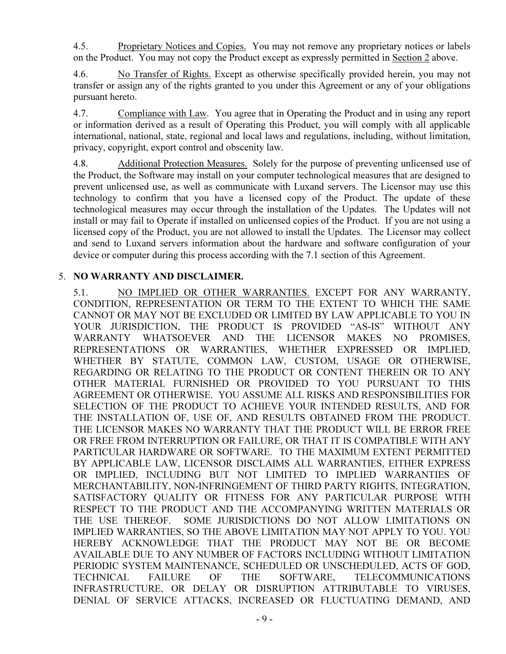4.5. Proprietary Notices and Copies. You may not remove any proprietary notices or labels on the Product. You may not copy the Product except as expressly permitted in Section 2 above.

4.6. No Transfer of Rights. Except as otherwise specifically provided herein, you may not transfer or assign any of the rights granted to you under this Agreement or any of your obligations pursuant hereto.

4.7. Compliance with Law. You agree that in Operating the Product and in using any report or information derived as a result of Operating this Product, you will comply with all applicable international, national, state, regional and local laws and regulations, including, without limitation, privacy, copyright, export control and obscenity law.

4.8. Additional Protection Measures. Solely for the purpose of preventing unlicensed use of the Product, the Software may install on your computer technological measures that are designed to prevent unlicensed use, as well as communicate with Luxand servers. The Licensor may use this technology to confirm that you have a licensed copy of the Product. The update of these technological measures may occur through the installation of the Updates. The Updates will not install or may fail to Operate if installed on unlicensed copies of the Product. If you are not using a licensed copy of the Product, you are not allowed to install the Updates. The Licensor may collect and send to Luxand servers information about the hardware and software configuration of your device or computer during this process according with the 7.1 section of this Agreement.

# 5. NO WARRANTY AND DISCLAIMER.

5.1. NO IMPLIED OR OTHER WARRANTIES. EXCEPT FOR ANY WARRANTY, CONDITION, REPRESENTATION OR TERM TO THE EXTENT TO WHICH THE SAME CANNOT OR MAY NOT BE EXCLUDED OR LIMITED BY LAW APPLICABLE TO YOU IN YOUR JURISDICTION, THE PRODUCT IS PROVIDED "AS-IS" WITHOUT ANY WARRANTY WHATSOEVER AND THE LICENSOR MAKES NO PROMISES, REPRESENTATIONS OR WARRANTIES, WHETHER EXPRESSED OR IMPLIED, WHETHER BY STATUTE, COMMON LAW, CUSTOM, USAGE OR OTHERWISE, REGARDING OR RELATING TO THE PRODUCT OR CONTENT THEREIN OR TO ANY OTHER MATERIAL FURNISHED OR PROVIDED TO YOU PURSUANT TO THIS AGREEMENT OR OTHERWISE. YOU ASSUME ALL RISKS AND RESPONSIBILITIES FOR SELECTION OF THE PRODUCT TO ACHIEVE YOUR INTENDED RESULTS, AND FOR THE INSTALLATION OF, USE OF, AND RESULTS OBTAINED FROM THE PRODUCT. THE LICENSOR MAKES NO WARRANTY THAT THE PRODUCT WILL BE ERROR FREE OR FREE FROM INTERRUPTION OR FAILURE, OR THAT IT IS COMPATIBLE WITH ANY PARTICULAR HARDWARE OR SOFTWARE. TO THE MAXIMUM EXTENT PERMITTED BY APPLICABLE LAW, LICENSOR DISCLAIMS ALL WARRANTIES, EITHER EXPRESS OR IMPLIED, INCLUDING BUT NOT LIMITED TO IMPLIED WARRANTIES OF MERCHANTABILITY, NON-INFRINGEMENT OF THIRD PARTY RIGHTS, INTEGRATION, SATISFACTORY QUALITY OR FITNESS FOR ANY PARTICULAR PURPOSE WITH RESPECT TO THE PRODUCT AND THE ACCOMPANYING WRITTEN MATERIALS OR THE USE THEREOF. SOME JURISDICTIONS DO NOT ALLOW LIMITATIONS ON IMPLIED WARRANTIES, SO THE ABOVE LIMITATION MAY NOT APPLY TO YOU. YOU HEREBY ACKNOWLEDGE THAT THE PRODUCT MAY NOT BE OR BECOME AVAILABLE DUE TO ANY NUMBER OF FACTORS INCLUDING WITHOUT LIMITATION PERIODIC SYSTEM MAINTENANCE, SCHEDULED OR UNSCHEDULED, ACTS OF GOD, TECHNICAL FAILURE OF THE SOFTWARE, TELECOMMUNICATIONS INFRASTRUCTURE, OR DELAY OR DISRUPTION ATTRIBUTABLE TO VIRUSES, DENIAL OF SERVICE ATTACKS, INCREASED OR FLUCTUATING DEMAND, AND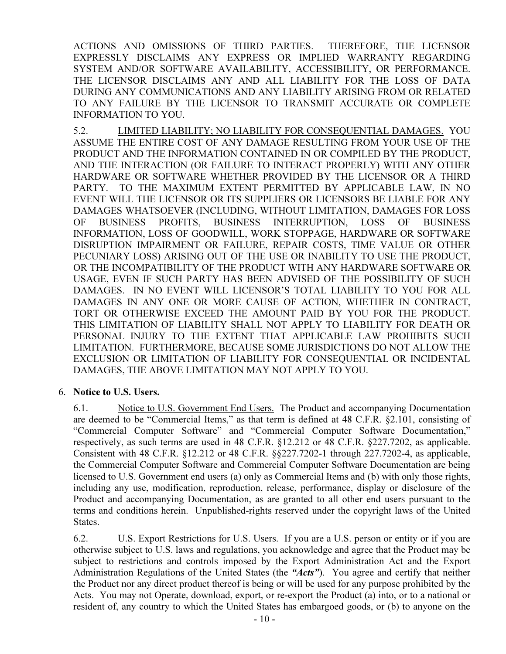ACTIONS AND OMISSIONS OF THIRD PARTIES. THEREFORE, THE LICENSOR EXPRESSLY DISCLAIMS ANY EXPRESS OR IMPLIED WARRANTY REGARDING SYSTEM AND/OR SOFTWARE AVAILABILITY, ACCESSIBILITY, OR PERFORMANCE. THE LICENSOR DISCLAIMS ANY AND ALL LIABILITY FOR THE LOSS OF DATA DURING ANY COMMUNICATIONS AND ANY LIABILITY ARISING FROM OR RELATED TO ANY FAILURE BY THE LICENSOR TO TRANSMIT ACCURATE OR COMPLETE INFORMATION TO YOU.

5.2. LIMITED LIABILITY; NO LIABILITY FOR CONSEQUENTIAL DAMAGES. YOU ASSUME THE ENTIRE COST OF ANY DAMAGE RESULTING FROM YOUR USE OF THE PRODUCT AND THE INFORMATION CONTAINED IN OR COMPILED BY THE PRODUCT, AND THE INTERACTION (OR FAILURE TO INTERACT PROPERLY) WITH ANY OTHER HARDWARE OR SOFTWARE WHETHER PROVIDED BY THE LICENSOR OR A THIRD PARTY. TO THE MAXIMUM EXTENT PERMITTED BY APPLICABLE LAW, IN NO EVENT WILL THE LICENSOR OR ITS SUPPLIERS OR LICENSORS BE LIABLE FOR ANY DAMAGES WHATSOEVER (INCLUDING, WITHOUT LIMITATION, DAMAGES FOR LOSS OF BUSINESS PROFITS, BUSINESS INTERRUPTION, LOSS OF BUSINESS INFORMATION, LOSS OF GOODWILL, WORK STOPPAGE, HARDWARE OR SOFTWARE DISRUPTION IMPAIRMENT OR FAILURE, REPAIR COSTS, TIME VALUE OR OTHER PECUNIARY LOSS) ARISING OUT OF THE USE OR INABILITY TO USE THE PRODUCT, OR THE INCOMPATIBILITY OF THE PRODUCT WITH ANY HARDWARE SOFTWARE OR USAGE, EVEN IF SUCH PARTY HAS BEEN ADVISED OF THE POSSIBILITY OF SUCH DAMAGES. IN NO EVENT WILL LICENSOR'S TOTAL LIABILITY TO YOU FOR ALL DAMAGES IN ANY ONE OR MORE CAUSE OF ACTION, WHETHER IN CONTRACT, TORT OR OTHERWISE EXCEED THE AMOUNT PAID BY YOU FOR THE PRODUCT. THIS LIMITATION OF LIABILITY SHALL NOT APPLY TO LIABILITY FOR DEATH OR PERSONAL INJURY TO THE EXTENT THAT APPLICABLE LAW PROHIBITS SUCH LIMITATION. FURTHERMORE, BECAUSE SOME JURISDICTIONS DO NOT ALLOW THE EXCLUSION OR LIMITATION OF LIABILITY FOR CONSEQUENTIAL OR INCIDENTAL DAMAGES, THE ABOVE LIMITATION MAY NOT APPLY TO YOU.

#### 6. Notice to U.S. Users.

6.1. Notice to U.S. Government End Users. The Product and accompanying Documentation are deemed to be "Commercial Items," as that term is defined at 48 C.F.R. §2.101, consisting of "Commercial Computer Software" and "Commercial Computer Software Documentation," respectively, as such terms are used in 48 C.F.R. §12.212 or 48 C.F.R. §227.7202, as applicable. Consistent with 48 C.F.R. §12.212 or 48 C.F.R. §§227.7202-1 through 227.7202-4, as applicable, the Commercial Computer Software and Commercial Computer Software Documentation are being licensed to U.S. Government end users (a) only as Commercial Items and (b) with only those rights, including any use, modification, reproduction, release, performance, display or disclosure of the Product and accompanying Documentation, as are granted to all other end users pursuant to the terms and conditions herein. Unpublished-rights reserved under the copyright laws of the United States.

6.2. U.S. Export Restrictions for U.S. Users. If you are a U.S. person or entity or if you are otherwise subject to U.S. laws and regulations, you acknowledge and agree that the Product may be subject to restrictions and controls imposed by the Export Administration Act and the Export Administration Regulations of the United States (the "Acts"). You agree and certify that neither the Product nor any direct product thereof is being or will be used for any purpose prohibited by the Acts. You may not Operate, download, export, or re-export the Product (a) into, or to a national or resident of, any country to which the United States has embargoed goods, or (b) to anyone on the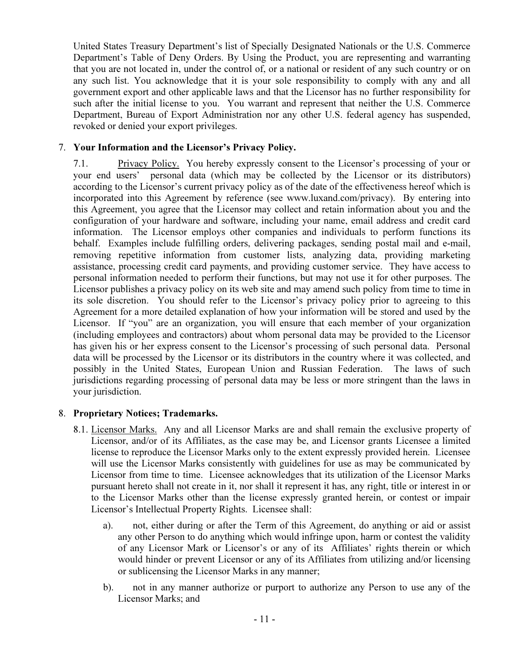United States Treasury Department's list of Specially Designated Nationals or the U.S. Commerce Department's Table of Deny Orders. By Using the Product, you are representing and warranting that you are not located in, under the control of, or a national or resident of any such country or on any such list. You acknowledge that it is your sole responsibility to comply with any and all government export and other applicable laws and that the Licensor has no further responsibility for such after the initial license to you. You warrant and represent that neither the U.S. Commerce Department, Bureau of Export Administration nor any other U.S. federal agency has suspended, revoked or denied your export privileges.

# 7. Your Information and the Licensor's Privacy Policy.

7.1. Privacy Policy. You hereby expressly consent to the Licensor's processing of your or your end users' personal data (which may be collected by the Licensor or its distributors) according to the Licensor's current privacy policy as of the date of the effectiveness hereof which is incorporated into this Agreement by reference (see www.luxand.com/privacy). By entering into this Agreement, you agree that the Licensor may collect and retain information about you and the configuration of your hardware and software, including your name, email address and credit card information. The Licensor employs other companies and individuals to perform functions its behalf. Examples include fulfilling orders, delivering packages, sending postal mail and e-mail, removing repetitive information from customer lists, analyzing data, providing marketing assistance, processing credit card payments, and providing customer service. They have access to personal information needed to perform their functions, but may not use it for other purposes. The Licensor publishes a privacy policy on its web site and may amend such policy from time to time in its sole discretion. You should refer to the Licensor's privacy policy prior to agreeing to this Agreement for a more detailed explanation of how your information will be stored and used by the Licensor. If "you" are an organization, you will ensure that each member of your organization (including employees and contractors) about whom personal data may be provided to the Licensor has given his or her express consent to the Licensor's processing of such personal data. Personal data will be processed by the Licensor or its distributors in the country where it was collected, and possibly in the United States, European Union and Russian Federation. The laws of such jurisdictions regarding processing of personal data may be less or more stringent than the laws in your jurisdiction.

# 8. Proprietary Notices; Trademarks.

- 8.1. Licensor Marks. Any and all Licensor Marks are and shall remain the exclusive property of Licensor, and/or of its Affiliates, as the case may be, and Licensor grants Licensee a limited license to reproduce the Licensor Marks only to the extent expressly provided herein. Licensee will use the Licensor Marks consistently with guidelines for use as may be communicated by Licensor from time to time. Licensee acknowledges that its utilization of the Licensor Marks pursuant hereto shall not create in it, nor shall it represent it has, any right, title or interest in or to the Licensor Marks other than the license expressly granted herein, or contest or impair Licensor's Intellectual Property Rights. Licensee shall:
	- a). not, either during or after the Term of this Agreement, do anything or aid or assist any other Person to do anything which would infringe upon, harm or contest the validity of any Licensor Mark or Licensor's or any of its Affiliates' rights therein or which would hinder or prevent Licensor or any of its Affiliates from utilizing and/or licensing or sublicensing the Licensor Marks in any manner;
	- b). not in any manner authorize or purport to authorize any Person to use any of the Licensor Marks; and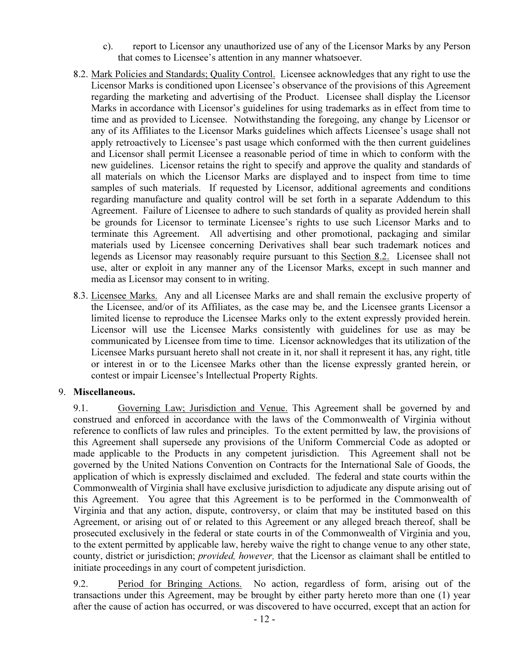- c). report to Licensor any unauthorized use of any of the Licensor Marks by any Person that comes to Licensee's attention in any manner whatsoever.
- 8.2. Mark Policies and Standards; Quality Control. Licensee acknowledges that any right to use the Licensor Marks is conditioned upon Licensee's observance of the provisions of this Agreement regarding the marketing and advertising of the Product. Licensee shall display the Licensor Marks in accordance with Licensor's guidelines for using trademarks as in effect from time to time and as provided to Licensee. Notwithstanding the foregoing, any change by Licensor or any of its Affiliates to the Licensor Marks guidelines which affects Licensee's usage shall not apply retroactively to Licensee's past usage which conformed with the then current guidelines and Licensor shall permit Licensee a reasonable period of time in which to conform with the new guidelines. Licensor retains the right to specify and approve the quality and standards of all materials on which the Licensor Marks are displayed and to inspect from time to time samples of such materials. If requested by Licensor, additional agreements and conditions regarding manufacture and quality control will be set forth in a separate Addendum to this Agreement. Failure of Licensee to adhere to such standards of quality as provided herein shall be grounds for Licensor to terminate Licensee's rights to use such Licensor Marks and to terminate this Agreement. All advertising and other promotional, packaging and similar materials used by Licensee concerning Derivatives shall bear such trademark notices and legends as Licensor may reasonably require pursuant to this Section 8.2. Licensee shall not use, alter or exploit in any manner any of the Licensor Marks, except in such manner and media as Licensor may consent to in writing.
- 8.3. Licensee Marks. Any and all Licensee Marks are and shall remain the exclusive property of the Licensee, and/or of its Affiliates, as the case may be, and the Licensee grants Licensor a limited license to reproduce the Licensee Marks only to the extent expressly provided herein. Licensor will use the Licensee Marks consistently with guidelines for use as may be communicated by Licensee from time to time. Licensor acknowledges that its utilization of the Licensee Marks pursuant hereto shall not create in it, nor shall it represent it has, any right, title or interest in or to the Licensee Marks other than the license expressly granted herein, or contest or impair Licensee's Intellectual Property Rights.

# 9. Miscellaneous.

9.1. Governing Law; Jurisdiction and Venue. This Agreement shall be governed by and construed and enforced in accordance with the laws of the Commonwealth of Virginia without reference to conflicts of law rules and principles. To the extent permitted by law, the provisions of this Agreement shall supersede any provisions of the Uniform Commercial Code as adopted or made applicable to the Products in any competent jurisdiction. This Agreement shall not be governed by the United Nations Convention on Contracts for the International Sale of Goods, the application of which is expressly disclaimed and excluded. The federal and state courts within the Commonwealth of Virginia shall have exclusive jurisdiction to adjudicate any dispute arising out of this Agreement. You agree that this Agreement is to be performed in the Commonwealth of Virginia and that any action, dispute, controversy, or claim that may be instituted based on this Agreement, or arising out of or related to this Agreement or any alleged breach thereof, shall be prosecuted exclusively in the federal or state courts in of the Commonwealth of Virginia and you, to the extent permitted by applicable law, hereby waive the right to change venue to any other state, county, district or jurisdiction; provided, however, that the Licensor as claimant shall be entitled to initiate proceedings in any court of competent jurisdiction.

9.2. Period for Bringing Actions. No action, regardless of form, arising out of the transactions under this Agreement, may be brought by either party hereto more than one (1) year after the cause of action has occurred, or was discovered to have occurred, except that an action for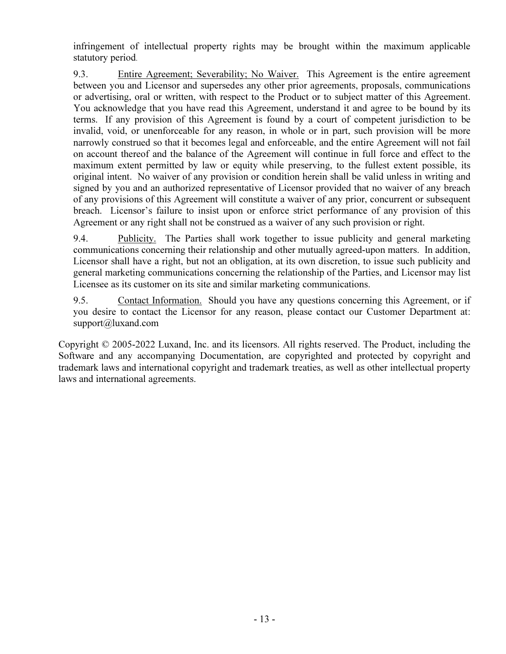infringement of intellectual property rights may be brought within the maximum applicable statutory period.

9.3. Entire Agreement; Severability; No Waiver. This Agreement is the entire agreement between you and Licensor and supersedes any other prior agreements, proposals, communications or advertising, oral or written, with respect to the Product or to subject matter of this Agreement. You acknowledge that you have read this Agreement, understand it and agree to be bound by its terms. If any provision of this Agreement is found by a court of competent jurisdiction to be invalid, void, or unenforceable for any reason, in whole or in part, such provision will be more narrowly construed so that it becomes legal and enforceable, and the entire Agreement will not fail on account thereof and the balance of the Agreement will continue in full force and effect to the maximum extent permitted by law or equity while preserving, to the fullest extent possible, its original intent. No waiver of any provision or condition herein shall be valid unless in writing and signed by you and an authorized representative of Licensor provided that no waiver of any breach of any provisions of this Agreement will constitute a waiver of any prior, concurrent or subsequent breach. Licensor's failure to insist upon or enforce strict performance of any provision of this Agreement or any right shall not be construed as a waiver of any such provision or right.

9.4. Publicity. The Parties shall work together to issue publicity and general marketing communications concerning their relationship and other mutually agreed-upon matters. In addition, Licensor shall have a right, but not an obligation, at its own discretion, to issue such publicity and general marketing communications concerning the relationship of the Parties, and Licensor may list Licensee as its customer on its site and similar marketing communications.

9.5. Contact Information. Should you have any questions concerning this Agreement, or if you desire to contact the Licensor for any reason, please contact our Customer Department at: support@luxand.com

Copyright © 2005-2022 Luxand, Inc. and its licensors. All rights reserved. The Product, including the Software and any accompanying Documentation, are copyrighted and protected by copyright and trademark laws and international copyright and trademark treaties, as well as other intellectual property laws and international agreements.